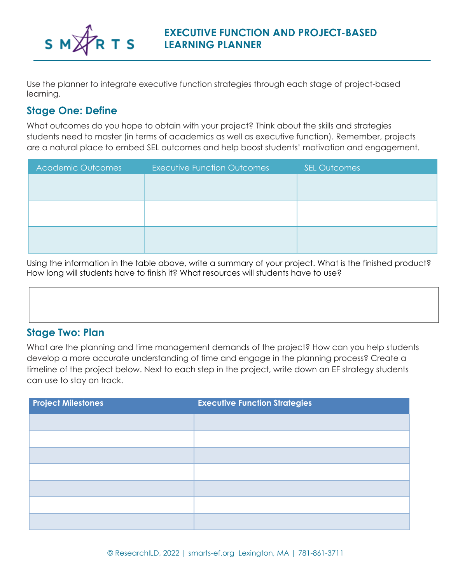

Use the planner to integrate executive function strategies through each stage of project-based learning.

#### **Stage One: Define**

What outcomes do you hope to obtain with your project? Think about the skills and strategies students need to master (in terms of academics as well as executive function). Remember, projects are a natural place to embed SEL outcomes and help boost students' motivation and engagement.

| <b>Executive Function Outcomes</b> | <b>SEL Outcomes</b> |
|------------------------------------|---------------------|
|                                    |                     |
|                                    |                     |
|                                    |                     |
|                                    |                     |
|                                    |                     |
|                                    |                     |
|                                    |                     |

Using the information in the table above, write a summary of your project. What is the finished product? How long will students have to finish it? What resources will students have to use?

#### **Stage Two: Plan**

What are the planning and time management demands of the project? How can you help students develop a more accurate understanding of time and engage in the planning process? Create a timeline of the project below. Next to each step in the project, write down an EF strategy students can use to stay on track.

| <b>Project Milestones</b> | <b>Executive Function Strategies</b> |
|---------------------------|--------------------------------------|
|                           |                                      |
|                           |                                      |
|                           |                                      |
|                           |                                      |
|                           |                                      |
|                           |                                      |
|                           |                                      |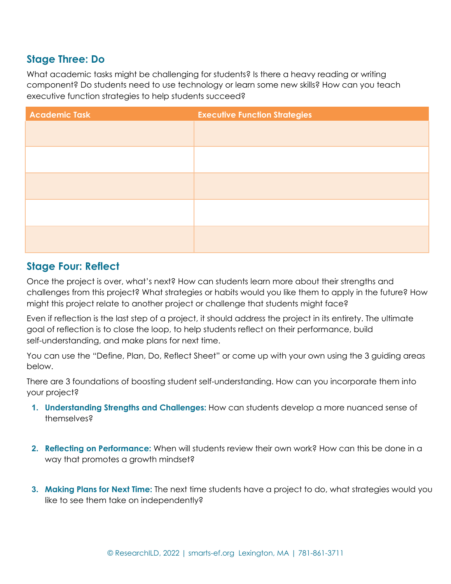#### **Stage Three: Do**

What academic tasks might be challenging for students? Is there a heavy reading or writing component? Do students need to use technology or learn some new skills? How can you teach executive function strategies to help students succeed?

| <b>Academic Task</b> | <b>Executive Function Strategies</b> |
|----------------------|--------------------------------------|
|                      |                                      |
|                      |                                      |
|                      |                                      |
|                      |                                      |
|                      |                                      |
|                      |                                      |
|                      |                                      |
|                      |                                      |
|                      |                                      |
|                      |                                      |

#### **Stage Four: Reflect**

Once the project is over, what's next? How can students learn more about their strengths and challenges from this project? What strategies or habits would you like them to apply in the future? How might this project relate to another project or challenge that students might face?

Even if reflection is the last step of a project, it should address the project in its entirety. The ultimate goal of reflection is to close the loop, to help students reflect on their performance, build self-understanding, and make plans for next time.

You can use the "Define, Plan, Do, Reflect Sheet" or come up with your own using the 3 guiding areas below.

There are 3 foundations of boosting student self-understanding. How can you incorporate them into your project?

- **1. Understanding Strengths and Challenges:** How can students develop a more nuanced sense of themselves?
- **2. Reflecting on Performance:** When will students review their own work? How can this be done in a way that promotes a growth mindset?
- **3. Making Plans for Next Time:** The next time students have a project to do, what strategies would you like to see them take on independently?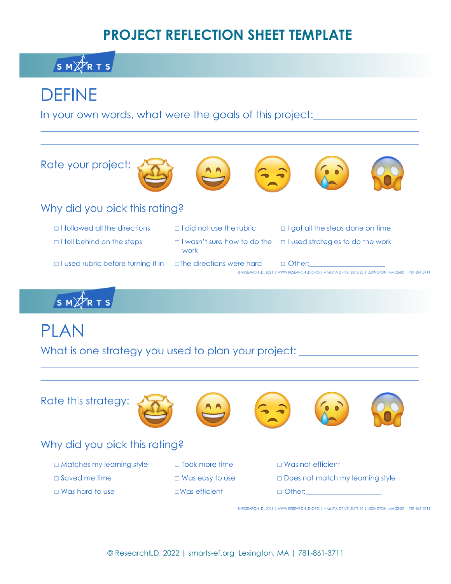### **PROJECT REFLECTION SHEET TEMPLATE**

### SMARTS

## **DEFINE**

In your own words, what were the goals of this project:

Rate your project:











### Why did you pick this rating?

- □ I followed all the directions
- $\Box$  I fell behind on the steps
- 
- 
- 
- 
- □ I used rubric before turning it in □ Ihe directions were hard
- □ I did not use the rubric
	- work
- $\Box$  I got all the steps done on time
- □ I wasn't sure how to do the □ I used strategies to do the work
	- $\Box$  Other: © RESEARCHILD, 2021 | WWW.RESEARCHILD.ORG | 4 MILITIA DRIVE, SUITE 20 | LEXINGTON, MA 02421 | 781-861-3711

SMARTS

# **PLAN**

What is one strategy you used to plan your project: \_\_\_\_

Rate this strategy:









### Why did you pick this rating?

- □ Matches my learning style
- $\square$  Saved me time
- $\Box$  Was hard to use

 $\Box$  Took more time  $\Box$  Was easy to use  $\square$ Was efficient

- $\Box$  Was not efficient
- **IDoes not match my learning style**
- $\Box$  Other:

© RESEARCHILD, 2021 | WWW.RESEARCHILD.ORG | 4 MILITIA DRIVE, SUITE 20 | LEXINGTON, MA 02421 | 781-861-3711